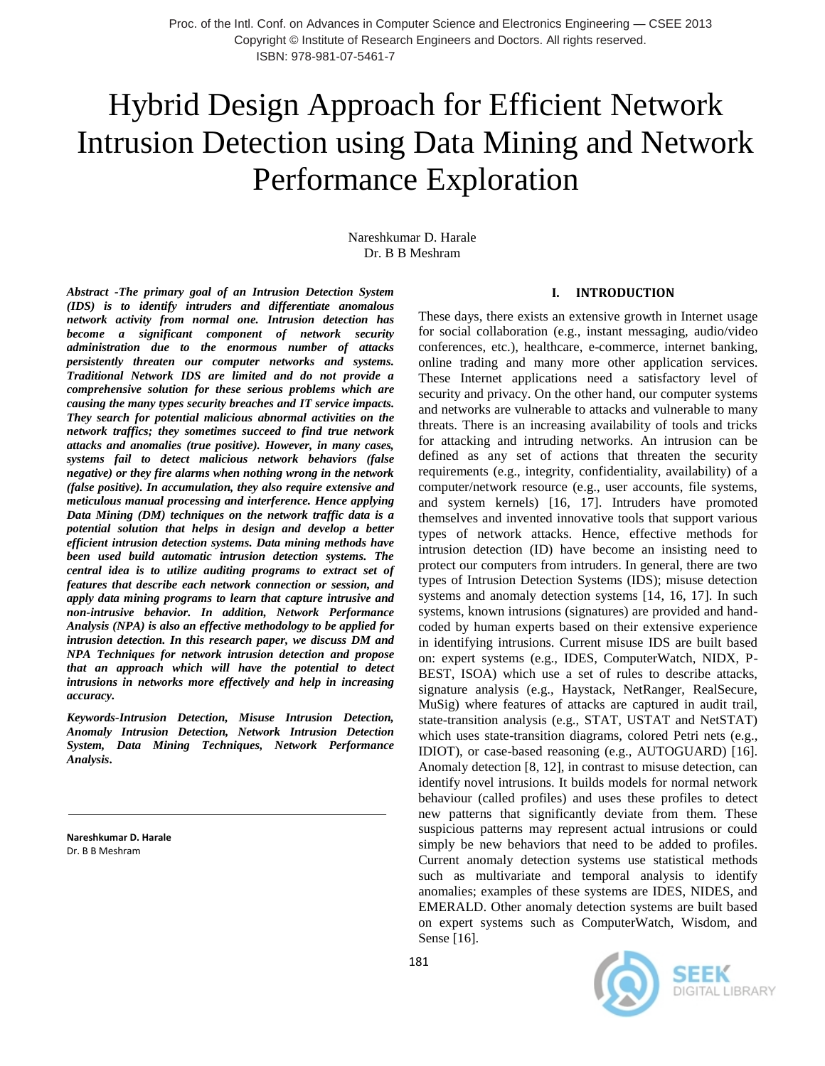# Hybrid Design Approach for Efficient Network Intrusion Detection using Data Mining and Network Performance Exploration

Nareshkumar D. Harale Dr. B B Meshram

*Abstract -The primary goal of an Intrusion Detection System (IDS) is to identify intruders and differentiate anomalous network activity from normal one. Intrusion detection has become a significant component of network security administration due to the enormous number of attacks persistently threaten our computer networks and systems. Traditional Network IDS are limited and do not provide a comprehensive solution for these serious problems which are causing the many types security breaches and IT service impacts. They search for potential malicious abnormal activities on the network traffics; they sometimes succeed to find true network attacks and anomalies (true positive). However, in many cases, systems fail to detect malicious network behaviors (false negative) or they fire alarms when nothing wrong in the network (false positive). In accumulation, they also require extensive and meticulous manual processing and interference. Hence applying Data Mining (DM) techniques on the network traffic data is a potential solution that helps in design and develop a better efficient intrusion detection systems. Data mining methods have been used build automatic intrusion detection systems. The central idea is to utilize auditing programs to extract set of features that describe each network connection or session, and apply data mining programs to learn that capture intrusive and non-intrusive behavior. In addition, Network Performance Analysis (NPA) is also an effective methodology to be applied for intrusion detection. In this research paper, we discuss DM and NPA Techniques for network intrusion detection and propose that an approach which will have the potential to detect intrusions in networks more effectively and help in increasing accuracy.* 

*Keywords-Intrusion Detection, Misuse Intrusion Detection, Anomaly Intrusion Detection, Network Intrusion Detection System, Data Mining Techniques, Network Performance Analysis***.**

**Nareshkumar D. Harale** Dr. B B Meshram

#### **I. INTRODUCTION**

These days, there exists an extensive growth in Internet usage for social collaboration (e.g., instant messaging, audio/video conferences, etc.), healthcare, e-commerce, internet banking, online trading and many more other application services. These Internet applications need a satisfactory level of security and privacy. On the other hand, our computer systems and networks are vulnerable to attacks and vulnerable to many threats. There is an increasing availability of tools and tricks for attacking and intruding networks. An intrusion can be defined as any set of actions that threaten the security requirements (e.g., integrity, confidentiality, availability) of a computer/network resource (e.g., user accounts, file systems, and system kernels) [16, 17]. Intruders have promoted themselves and invented innovative tools that support various types of network attacks. Hence, effective methods for intrusion detection (ID) have become an insisting need to protect our computers from intruders. In general, there are two types of Intrusion Detection Systems (IDS); misuse detection systems and anomaly detection systems [14, 16, 17]. In such systems, known intrusions (signatures) are provided and handcoded by human experts based on their extensive experience in identifying intrusions. Current misuse IDS are built based on: expert systems (e.g., IDES, ComputerWatch, NIDX, P-BEST, ISOA) which use a set of rules to describe attacks, signature analysis (e.g., Haystack, NetRanger, RealSecure, MuSig) where features of attacks are captured in audit trail, state-transition analysis (e.g., STAT, USTAT and NetSTAT) which uses state-transition diagrams, colored Petri nets (e.g., IDIOT), or case-based reasoning (e.g., AUTOGUARD) [16]. Anomaly detection [8, 12], in contrast to misuse detection, can identify novel intrusions. It builds models for normal network behaviour (called profiles) and uses these profiles to detect new patterns that significantly deviate from them. These suspicious patterns may represent actual intrusions or could simply be new behaviors that need to be added to profiles. Current anomaly detection systems use statistical methods such as multivariate and temporal analysis to identify anomalies; examples of these systems are IDES, NIDES, and EMERALD. Other anomaly detection systems are built based on expert systems such as ComputerWatch, Wisdom, and Sense [16].

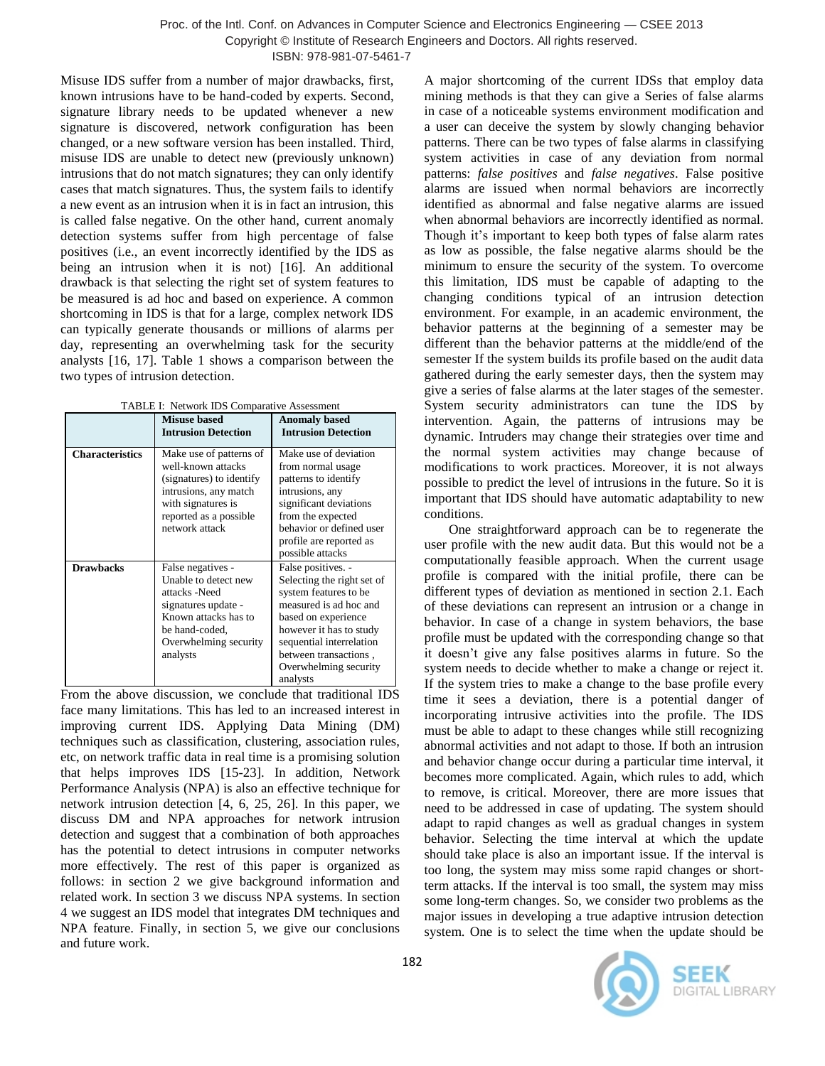ISBN: 978-981-07-5461-7

Misuse IDS suffer from a number of major drawbacks, first, known intrusions have to be hand-coded by experts. Second, signature library needs to be updated whenever a new signature is discovered, network configuration has been changed, or a new software version has been installed. Third, misuse IDS are unable to detect new (previously unknown) intrusions that do not match signatures; they can only identify cases that match signatures. Thus, the system fails to identify a new event as an intrusion when it is in fact an intrusion, this is called false negative. On the other hand, current anomaly detection systems suffer from high percentage of false positives (i.e., an event incorrectly identified by the IDS as being an intrusion when it is not) [16]. An additional drawback is that selecting the right set of system features to be measured is ad hoc and based on experience. A common shortcoming in IDS is that for a large, complex network IDS can typically generate thousands or millions of alarms per day, representing an overwhelming task for the security analysts [16, 17]. Table 1 shows a comparison between the two types of intrusion detection.

|  | TABLE I: Network IDS Comparative Assessment |  |  |
|--|---------------------------------------------|--|--|
|--|---------------------------------------------|--|--|

|                        | <b>Misuse based</b><br><b>Intrusion Detection</b>                                                                                                                    | <b>Anomaly based</b><br><b>Intrusion Detection</b>                                                                                                                                                                                              |
|------------------------|----------------------------------------------------------------------------------------------------------------------------------------------------------------------|-------------------------------------------------------------------------------------------------------------------------------------------------------------------------------------------------------------------------------------------------|
| <b>Characteristics</b> | Make use of patterns of<br>well-known attacks<br>(signatures) to identify<br>intrusions, any match<br>with signatures is<br>reported as a possible<br>network attack | Make use of deviation<br>from normal usage<br>patterns to identify<br>intrusions, any<br>significant deviations<br>from the expected<br>behavior or defined user<br>profile are reported as<br>possible attacks                                 |
| <b>Drawbacks</b>       | False negatives -<br>Unable to detect new<br>attacks -Need<br>signatures update -<br>Known attacks has to<br>be hand-coded,<br>Overwhelming security<br>analysts     | False positives. -<br>Selecting the right set of<br>system features to be<br>measured is ad hoc and<br>based on experience<br>however it has to study<br>sequential interrelation<br>between transactions,<br>Overwhelming security<br>analysts |

From the above discussion, we conclude that traditional IDS face many limitations. This has led to an increased interest in improving current IDS. Applying Data Mining (DM) techniques such as classification, clustering, association rules, etc, on network traffic data in real time is a promising solution that helps improves IDS [15-23]. In addition, Network Performance Analysis (NPA) is also an effective technique for network intrusion detection [4, 6, 25, 26]. In this paper, we discuss DM and NPA approaches for network intrusion detection and suggest that a combination of both approaches has the potential to detect intrusions in computer networks more effectively. The rest of this paper is organized as follows: in section 2 we give background information and related work. In section 3 we discuss NPA systems. In section 4 we suggest an IDS model that integrates DM techniques and NPA feature. Finally, in section 5, we give our conclusions and future work.

A major shortcoming of the current IDSs that employ data mining methods is that they can give a Series of false alarms in case of a noticeable systems environment modification and a user can deceive the system by slowly changing behavior patterns. There can be two types of false alarms in classifying system activities in case of any deviation from normal patterns: *false positives* and *false negatives*. False positive alarms are issued when normal behaviors are incorrectly identified as abnormal and false negative alarms are issued when abnormal behaviors are incorrectly identified as normal. Though it's important to keep both types of false alarm rates as low as possible, the false negative alarms should be the minimum to ensure the security of the system. To overcome this limitation, IDS must be capable of adapting to the changing conditions typical of an intrusion detection environment. For example, in an academic environment, the behavior patterns at the beginning of a semester may be different than the behavior patterns at the middle/end of the semester If the system builds its profile based on the audit data gathered during the early semester days, then the system may give a series of false alarms at the later stages of the semester. System security administrators can tune the IDS by intervention. Again, the patterns of intrusions may be dynamic. Intruders may change their strategies over time and the normal system activities may change because of modifications to work practices. Moreover, it is not always possible to predict the level of intrusions in the future. So it is important that IDS should have automatic adaptability to new conditions.

One straightforward approach can be to regenerate the user profile with the new audit data. But this would not be a computationally feasible approach. When the current usage profile is compared with the initial profile, there can be different types of deviation as mentioned in section 2.1. Each of these deviations can represent an intrusion or a change in behavior. In case of a change in system behaviors, the base profile must be updated with the corresponding change so that it doesn't give any false positives alarms in future. So the system needs to decide whether to make a change or reject it. If the system tries to make a change to the base profile every time it sees a deviation, there is a potential danger of incorporating intrusive activities into the profile. The IDS must be able to adapt to these changes while still recognizing abnormal activities and not adapt to those. If both an intrusion and behavior change occur during a particular time interval, it becomes more complicated. Again, which rules to add, which to remove, is critical. Moreover, there are more issues that need to be addressed in case of updating. The system should adapt to rapid changes as well as gradual changes in system behavior. Selecting the time interval at which the update should take place is also an important issue. If the interval is too long, the system may miss some rapid changes or shortterm attacks. If the interval is too small, the system may miss some long-term changes. So, we consider two problems as the major issues in developing a true adaptive intrusion detection system. One is to select the time when the update should be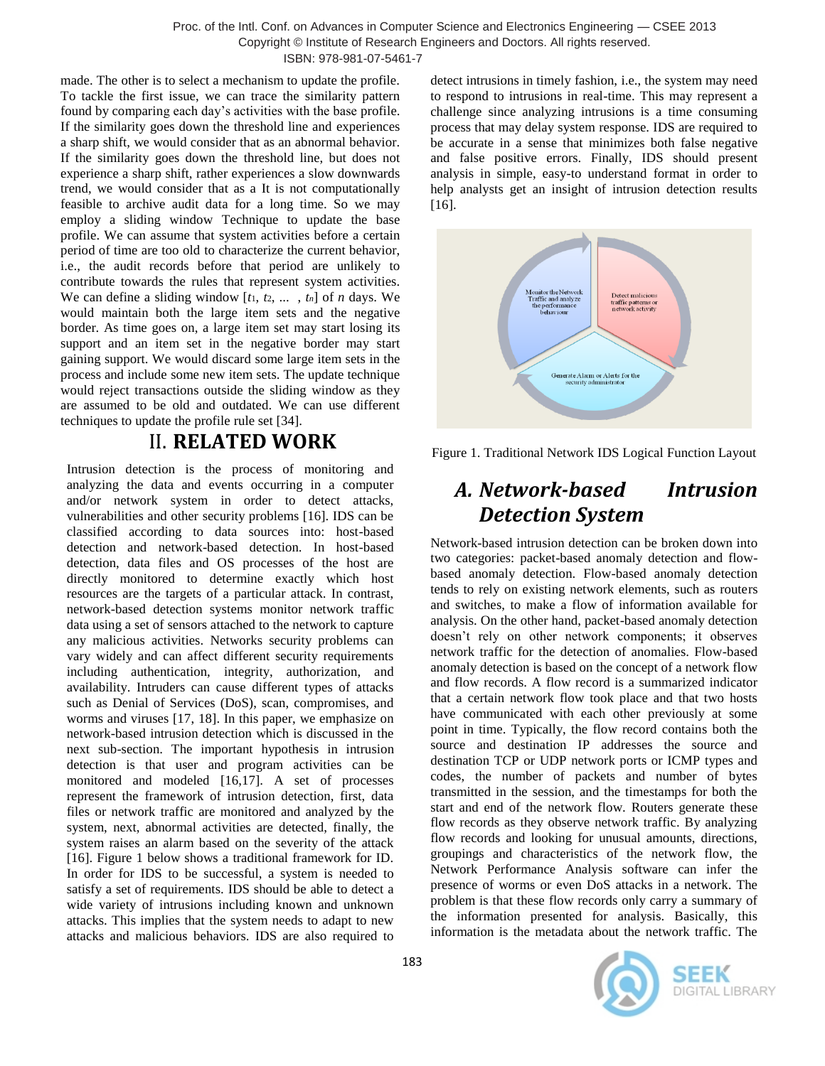made. The other is to select a mechanism to update the profile. To tackle the first issue, we can trace the similarity pattern found by comparing each day's activities with the base profile. If the similarity goes down the threshold line and experiences a sharp shift, we would consider that as an abnormal behavior. If the similarity goes down the threshold line, but does not experience a sharp shift, rather experiences a slow downwards trend, we would consider that as a It is not computationally feasible to archive audit data for a long time. So we may employ a sliding window Technique to update the base profile. We can assume that system activities before a certain period of time are too old to characterize the current behavior, i.e., the audit records before that period are unlikely to contribute towards the rules that represent system activities. We can define a sliding window  $[t_1, t_2, \ldots, t_n]$  of *n* days. We would maintain both the large item sets and the negative border. As time goes on, a large item set may start losing its support and an item set in the negative border may start gaining support. We would discard some large item sets in the process and include some new item sets. The update technique would reject transactions outside the sliding window as they are assumed to be old and outdated. We can use different techniques to update the profile rule set [34].

### II. **RELATED WORK**

Intrusion detection is the process of monitoring and analyzing the data and events occurring in a computer and/or network system in order to detect attacks, vulnerabilities and other security problems [16]. IDS can be classified according to data sources into: host-based detection and network-based detection. In host-based detection, data files and OS processes of the host are directly monitored to determine exactly which host resources are the targets of a particular attack. In contrast, network-based detection systems monitor network traffic data using a set of sensors attached to the network to capture any malicious activities. Networks security problems can vary widely and can affect different security requirements including authentication, integrity, authorization, and availability. Intruders can cause different types of attacks such as Denial of Services (DoS), scan, compromises, and worms and viruses [17, 18]. In this paper, we emphasize on network-based intrusion detection which is discussed in the next sub-section. The important hypothesis in intrusion detection is that user and program activities can be monitored and modeled [16,17]. A set of processes represent the framework of intrusion detection, first, data files or network traffic are monitored and analyzed by the system, next, abnormal activities are detected, finally, the system raises an alarm based on the severity of the attack [16]. Figure 1 below shows a traditional framework for ID. In order for IDS to be successful, a system is needed to satisfy a set of requirements. IDS should be able to detect a wide variety of intrusions including known and unknown attacks. This implies that the system needs to adapt to new attacks and malicious behaviors. IDS are also required to detect intrusions in timely fashion, i.e., the system may need to respond to intrusions in real-time. This may represent a challenge since analyzing intrusions is a time consuming process that may delay system response. IDS are required to be accurate in a sense that minimizes both false negative and false positive errors. Finally, IDS should present analysis in simple, easy-to understand format in order to help analysts get an insight of intrusion detection results [16].



Figure 1. Traditional Network IDS Logical Function Layout

# *A. Network-based Intrusion Detection System*

Network-based intrusion detection can be broken down into two categories: packet-based anomaly detection and flowbased anomaly detection. Flow-based anomaly detection tends to rely on existing network elements, such as routers and switches, to make a flow of information available for analysis. On the other hand, packet-based anomaly detection doesn't rely on other network components; it observes network traffic for the detection of anomalies. Flow-based anomaly detection is based on the concept of a network flow and flow records. A flow record is a summarized indicator that a certain network flow took place and that two hosts have communicated with each other previously at some point in time. Typically, the flow record contains both the source and destination IP addresses the source and destination TCP or UDP network ports or ICMP types and codes, the number of packets and number of bytes transmitted in the session, and the timestamps for both the start and end of the network flow. Routers generate these flow records as they observe network traffic. By analyzing flow records and looking for unusual amounts, directions, groupings and characteristics of the network flow, the Network Performance Analysis software can infer the presence of worms or even DoS attacks in a network. The problem is that these flow records only carry a summary of the information presented for analysis. Basically, this information is the metadata about the network traffic. The

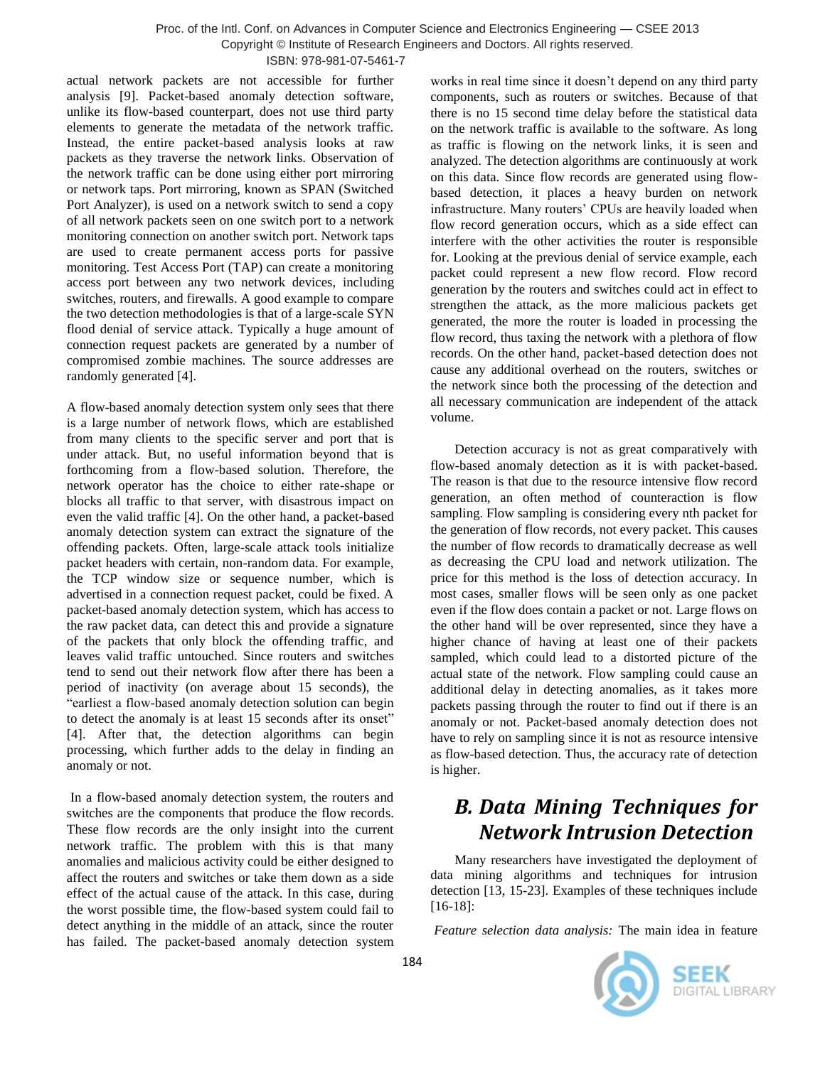ISBN: 978-981-07-5461-7

actual network packets are not accessible for further analysis [9]. Packet-based anomaly detection software, unlike its flow-based counterpart, does not use third party elements to generate the metadata of the network traffic. Instead, the entire packet-based analysis looks at raw packets as they traverse the network links. Observation of the network traffic can be done using either port mirroring or network taps. Port mirroring, known as SPAN (Switched Port Analyzer), is used on a network switch to send a copy of all network packets seen on one switch port to a network monitoring connection on another switch port. Network taps are used to create permanent access ports for passive monitoring. Test Access Port (TAP) can create a monitoring access port between any two network devices, including switches, routers, and firewalls. A good example to compare the two detection methodologies is that of a large-scale SYN flood denial of service attack. Typically a huge amount of connection request packets are generated by a number of compromised zombie machines. The source addresses are randomly generated [4].

A flow-based anomaly detection system only sees that there is a large number of network flows, which are established from many clients to the specific server and port that is under attack. But, no useful information beyond that is forthcoming from a flow-based solution. Therefore, the network operator has the choice to either rate-shape or blocks all traffic to that server, with disastrous impact on even the valid traffic [4]. On the other hand, a packet-based anomaly detection system can extract the signature of the offending packets. Often, large-scale attack tools initialize packet headers with certain, non-random data. For example, the TCP window size or sequence number, which is advertised in a connection request packet, could be fixed. A packet-based anomaly detection system, which has access to the raw packet data, can detect this and provide a signature of the packets that only block the offending traffic, and leaves valid traffic untouched. Since routers and switches tend to send out their network flow after there has been a period of inactivity (on average about 15 seconds), the "earliest a flow-based anomaly detection solution can begin to detect the anomaly is at least 15 seconds after its onset" [4]. After that, the detection algorithms can begin processing, which further adds to the delay in finding an anomaly or not.

In a flow-based anomaly detection system, the routers and switches are the components that produce the flow records. These flow records are the only insight into the current network traffic. The problem with this is that many anomalies and malicious activity could be either designed to affect the routers and switches or take them down as a side effect of the actual cause of the attack. In this case, during the worst possible time, the flow-based system could fail to detect anything in the middle of an attack, since the router has failed. The packet-based anomaly detection system

works in real time since it doesn't depend on any third party components, such as routers or switches. Because of that there is no 15 second time delay before the statistical data on the network traffic is available to the software. As long as traffic is flowing on the network links, it is seen and analyzed. The detection algorithms are continuously at work on this data. Since flow records are generated using flowbased detection, it places a heavy burden on network infrastructure. Many routers' CPUs are heavily loaded when flow record generation occurs, which as a side effect can interfere with the other activities the router is responsible for. Looking at the previous denial of service example, each packet could represent a new flow record. Flow record generation by the routers and switches could act in effect to strengthen the attack, as the more malicious packets get generated, the more the router is loaded in processing the flow record, thus taxing the network with a plethora of flow records. On the other hand, packet-based detection does not cause any additional overhead on the routers, switches or the network since both the processing of the detection and all necessary communication are independent of the attack volume.

Detection accuracy is not as great comparatively with flow-based anomaly detection as it is with packet-based. The reason is that due to the resource intensive flow record generation, an often method of counteraction is flow sampling. Flow sampling is considering every nth packet for the generation of flow records, not every packet. This causes the number of flow records to dramatically decrease as well as decreasing the CPU load and network utilization. The price for this method is the loss of detection accuracy. In most cases, smaller flows will be seen only as one packet even if the flow does contain a packet or not. Large flows on the other hand will be over represented, since they have a higher chance of having at least one of their packets sampled, which could lead to a distorted picture of the actual state of the network. Flow sampling could cause an additional delay in detecting anomalies, as it takes more packets passing through the router to find out if there is an anomaly or not. Packet-based anomaly detection does not have to rely on sampling since it is not as resource intensive as flow-based detection. Thus, the accuracy rate of detection is higher.

# *B. Data Mining Techniques for Network Intrusion Detection*

Many researchers have investigated the deployment of data mining algorithms and techniques for intrusion detection [13, 15-23]. Examples of these techniques include [16-18]:

*Feature selection data analysis:* The main idea in feature

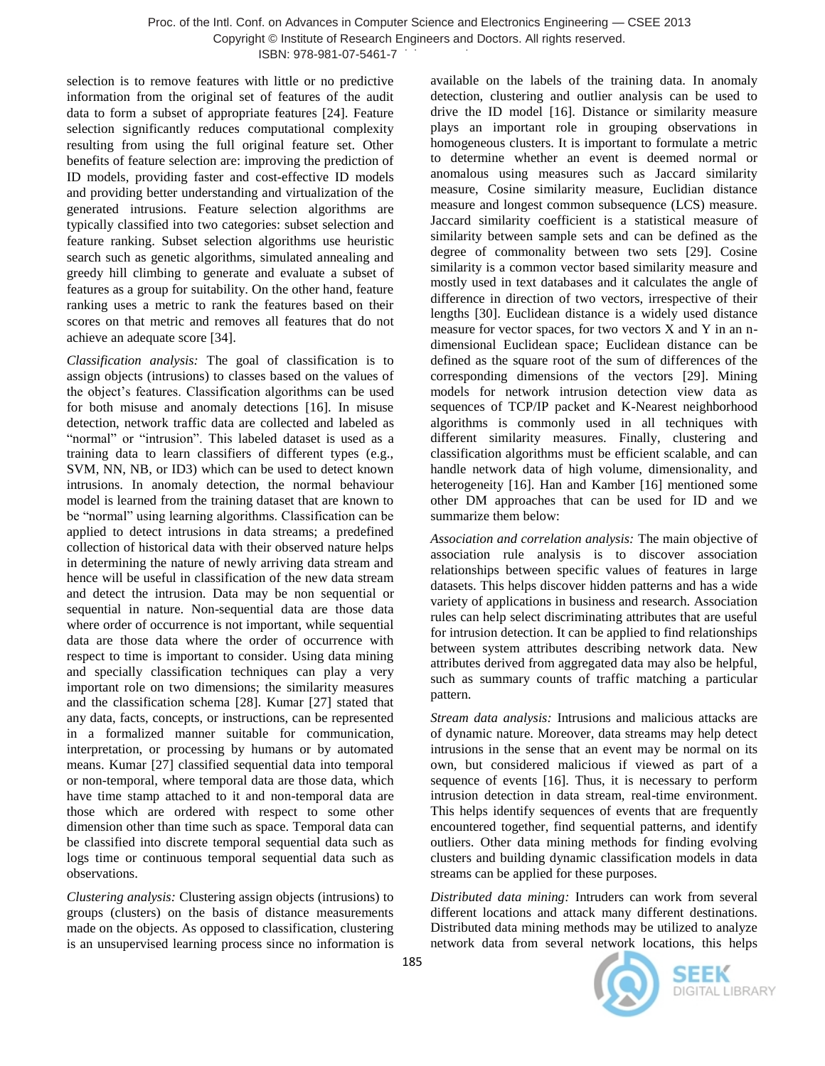selection is to remove features with little or no predictive information from the original set of features of the audit data to form a subset of appropriate features [24]. Feature selection significantly reduces computational complexity resulting from using the full original feature set. Other benefits of feature selection are: improving the prediction of ID models, providing faster and cost-effective ID models and providing better understanding and virtualization of the generated intrusions. Feature selection algorithms are typically classified into two categories: subset selection and feature ranking. Subset selection algorithms use heuristic search such as genetic algorithms, simulated annealing and greedy hill climbing to generate and evaluate a subset of features as a group for suitability. On the other hand, feature ranking uses a metric to rank the features based on their scores on that metric and removes all features that do not achieve an adequate score [34].

*Classification analysis:* The goal of classification is to assign objects (intrusions) to classes based on the values of the object's features. Classification algorithms can be used for both misuse and anomaly detections [16]. In misuse detection, network traffic data are collected and labeled as "normal" or "intrusion". This labeled dataset is used as a training data to learn classifiers of different types (e.g., SVM, NN, NB, or ID3) which can be used to detect known intrusions. In anomaly detection, the normal behaviour model is learned from the training dataset that are known to be "normal" using learning algorithms. Classification can be applied to detect intrusions in data streams; a predefined collection of historical data with their observed nature helps in determining the nature of newly arriving data stream and hence will be useful in classification of the new data stream and detect the intrusion. Data may be non sequential or sequential in nature. Non-sequential data are those data where order of occurrence is not important, while sequential data are those data where the order of occurrence with respect to time is important to consider. Using data mining and specially classification techniques can play a very important role on two dimensions; the similarity measures and the classification schema [28]. Kumar [27] stated that any data, facts, concepts, or instructions, can be represented in a formalized manner suitable for communication, interpretation, or processing by humans or by automated means. Kumar [27] classified sequential data into temporal or non-temporal, where temporal data are those data, which have time stamp attached to it and non-temporal data are those which are ordered with respect to some other dimension other than time such as space. Temporal data can be classified into discrete temporal sequential data such as logs time or continuous temporal sequential data such as observations.

*Clustering analysis:* Clustering assign objects (intrusions) to groups (clusters) on the basis of distance measurements made on the objects. As opposed to classification, clustering is an unsupervised learning process since no information is

available on the labels of the training data. In anomaly detection, clustering and outlier analysis can be used to drive the ID model [16]. Distance or similarity measure plays an important role in grouping observations in homogeneous clusters. It is important to formulate a metric to determine whether an event is deemed normal or anomalous using measures such as Jaccard similarity measure, Cosine similarity measure, Euclidian distance measure and longest common subsequence (LCS) measure. Jaccard similarity coefficient is a statistical measure of similarity between sample sets and can be defined as the degree of commonality between two sets [29]. Cosine similarity is a common vector based similarity measure and mostly used in text databases and it calculates the angle of difference in direction of two vectors, irrespective of their lengths [30]. Euclidean distance is a widely used distance measure for vector spaces, for two vectors X and Y in an ndimensional Euclidean space; Euclidean distance can be defined as the square root of the sum of differences of the corresponding dimensions of the vectors [29]. Mining models for network intrusion detection view data as sequences of TCP/IP packet and K-Nearest neighborhood algorithms is commonly used in all techniques with different similarity measures. Finally, clustering and classification algorithms must be efficient scalable, and can handle network data of high volume, dimensionality, and heterogeneity [16]. Han and Kamber [16] mentioned some other DM approaches that can be used for ID and we summarize them below:

*Association and correlation analysis:* The main objective of association rule analysis is to discover association relationships between specific values of features in large datasets. This helps discover hidden patterns and has a wide variety of applications in business and research. Association rules can help select discriminating attributes that are useful for intrusion detection. It can be applied to find relationships between system attributes describing network data. New attributes derived from aggregated data may also be helpful, such as summary counts of traffic matching a particular pattern.

*Stream data analysis:* Intrusions and malicious attacks are of dynamic nature. Moreover, data streams may help detect intrusions in the sense that an event may be normal on its own, but considered malicious if viewed as part of a sequence of events [16]. Thus, it is necessary to perform intrusion detection in data stream, real-time environment. This helps identify sequences of events that are frequently encountered together, find sequential patterns, and identify outliers. Other data mining methods for finding evolving clusters and building dynamic classification models in data streams can be applied for these purposes.

*Distributed data mining:* Intruders can work from several different locations and attack many different destinations. Distributed data mining methods may be utilized to analyze network data from several network locations, this helps

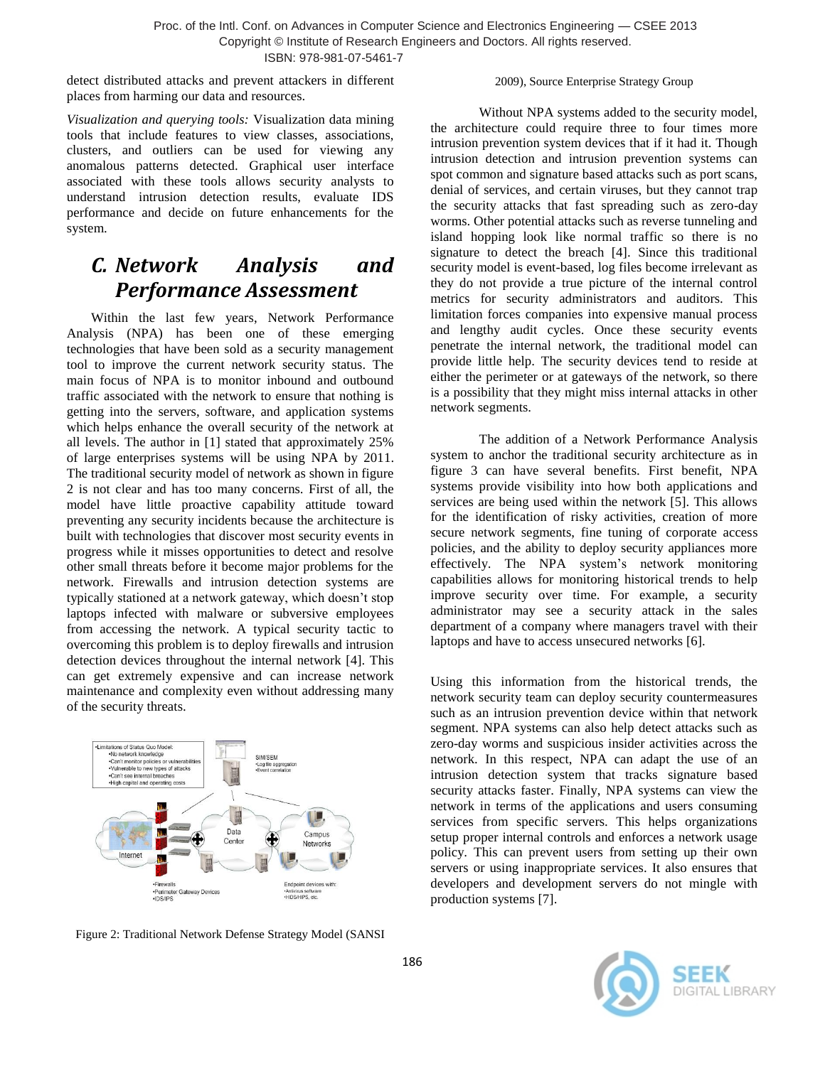detect distributed attacks and prevent attackers in different places from harming our data and resources.

*Visualization and querying tools:* Visualization data mining tools that include features to view classes, associations, clusters, and outliers can be used for viewing any anomalous patterns detected. Graphical user interface associated with these tools allows security analysts to understand intrusion detection results, evaluate IDS performance and decide on future enhancements for the system.

## *C. Network Analysis and Performance Assessment*

Within the last few years, Network Performance Analysis (NPA) has been one of these emerging technologies that have been sold as a security management tool to improve the current network security status. The main focus of NPA is to monitor inbound and outbound traffic associated with the network to ensure that nothing is getting into the servers, software, and application systems which helps enhance the overall security of the network at all levels. The author in [1] stated that approximately 25% of large enterprises systems will be using NPA by 2011. The traditional security model of network as shown in figure 2 is not clear and has too many concerns. First of all, the model have little proactive capability attitude toward preventing any security incidents because the architecture is built with technologies that discover most security events in progress while it misses opportunities to detect and resolve other small threats before it become major problems for the network. Firewalls and intrusion detection systems are typically stationed at a network gateway, which doesn't stop laptops infected with malware or subversive employees from accessing the network. A typical security tactic to overcoming this problem is to deploy firewalls and intrusion detection devices throughout the internal network [4]. This can get extremely expensive and can increase network maintenance and complexity even without addressing many of the security threats.



Figure 2: Traditional Network Defense Strategy Model (SANSI

2009), Source Enterprise Strategy Group

Without NPA systems added to the security model, the architecture could require three to four times more intrusion prevention system devices that if it had it. Though intrusion detection and intrusion prevention systems can spot common and signature based attacks such as port scans, denial of services, and certain viruses, but they cannot trap the security attacks that fast spreading such as zero-day worms. Other potential attacks such as reverse tunneling and island hopping look like normal traffic so there is no signature to detect the breach [4]. Since this traditional security model is event-based, log files become irrelevant as they do not provide a true picture of the internal control metrics for security administrators and auditors. This limitation forces companies into expensive manual process and lengthy audit cycles. Once these security events penetrate the internal network, the traditional model can provide little help. The security devices tend to reside at either the perimeter or at gateways of the network, so there is a possibility that they might miss internal attacks in other network segments.

The addition of a Network Performance Analysis system to anchor the traditional security architecture as in figure 3 can have several benefits. First benefit, NPA systems provide visibility into how both applications and services are being used within the network [5]. This allows for the identification of risky activities, creation of more secure network segments, fine tuning of corporate access policies, and the ability to deploy security appliances more effectively. The NPA system's network monitoring capabilities allows for monitoring historical trends to help improve security over time. For example, a security administrator may see a security attack in the sales department of a company where managers travel with their laptops and have to access unsecured networks [6].

Using this information from the historical trends, the network security team can deploy security countermeasures such as an intrusion prevention device within that network segment. NPA systems can also help detect attacks such as zero-day worms and suspicious insider activities across the network. In this respect, NPA can adapt the use of an intrusion detection system that tracks signature based security attacks faster. Finally, NPA systems can view the network in terms of the applications and users consuming services from specific servers. This helps organizations setup proper internal controls and enforces a network usage policy. This can prevent users from setting up their own servers or using inappropriate services. It also ensures that developers and development servers do not mingle with production systems [7].

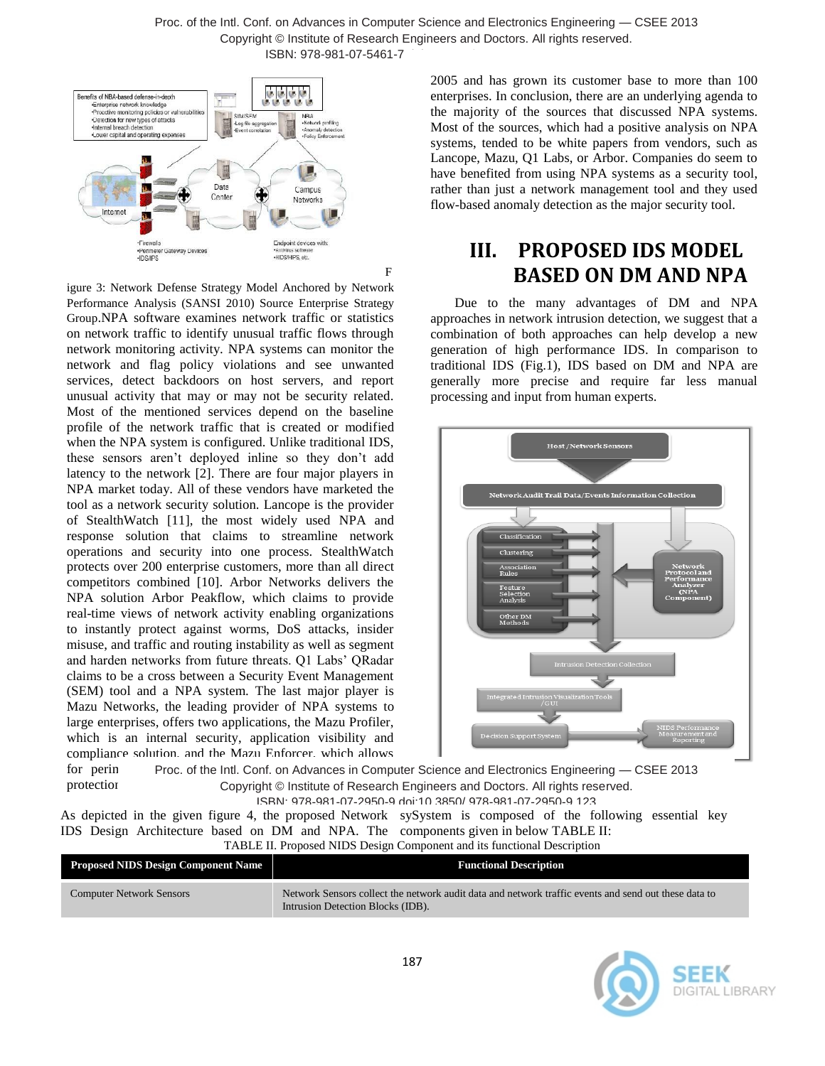F



igure 3: Network Defense Strategy Model Anchored by Network Performance Analysis (SANSI 2010) Source Enterprise Strategy Group.NPA software examines network traffic or statistics on network traffic to identify unusual traffic flows through network monitoring activity. NPA systems can monitor the network and flag policy violations and see unwanted services, detect backdoors on host servers, and report unusual activity that may or may not be security related. Most of the mentioned services depend on the baseline profile of the network traffic that is created or modified when the NPA system is configured. Unlike traditional IDS, these sensors aren't deployed inline so they don't add latency to the network [2]. There are four major players in NPA market today. All of these vendors have marketed the tool as a network security solution. Lancope is the provider of StealthWatch [11], the most widely used NPA and response solution that claims to streamline network operations and security into one process. StealthWatch protects over 200 enterprise customers, more than all direct competitors combined [10]. Arbor Networks delivers the NPA solution Arbor Peakflow, which claims to provide real-time views of network activity enabling organizations to instantly protect against worms, DoS attacks, insider misuse, and traffic and routing instability as well as segment and harden networks from future threats. Q1 Labs' QRadar claims to be a cross between a Security Event Management (SEM) tool and a NPA system. The last major player is Mazu Networks, the leading provider of NPA systems to large enterprises, offers two applications, the Mazu Profiler, which is an internal security, application visibility and compliance solution, and the Mazu Enforcer, which allows

2005 and has grown its customer base to more than 100 enterprises. In conclusion, there are an underlying agenda to the majority of the sources that discussed NPA systems. Most of the sources, which had a positive analysis on NPA systems, tended to be white papers from vendors, such as Lancope, Mazu, Q1 Labs, or Arbor. Companies do seem to have benefited from using NPA systems as a security tool, rather than just a network management tool and they used flow-based anomaly detection as the major security tool.

# **III. PROPOSED IDS MODEL BASED ON DM AND NPA**

Due to the many advantages of DM and NPA approaches in network intrusion detection, we suggest that a combination of both approaches can help develop a new generation of high performance IDS. In comparison to traditional IDS (Fig.1), IDS based on DM and NPA are generally more precise and require far less manual processing and input from human experts.



for perin Proc. of the Intl. Conf. on Advances in Computer Science and Electronics Engineering — CSEE 2013 protectior **Example 2** Copyright © Institute of Research Engineers and Doctors. All rights reserved.

As depicted in the given figure 4, the proposed Network sySystem is composed of the following essential key ISBN: 978-981-07-2950-9 doi:10.3850/ 978-981-07-2950-9 123

IDS Design Architecture based on DM and NPA. The components given in below TABLE II: TABLE II. Proposed NIDS Design Component and its functional Description

| <b>Proposed NIDS Design Component Name</b> | <b>Functional Description</b>                                                                                                             |
|--------------------------------------------|-------------------------------------------------------------------------------------------------------------------------------------------|
| <b>Computer Network Sensors</b>            | Network Sensors collect the network audit data and network traffic events and send out these data to<br>Intrusion Detection Blocks (IDB). |

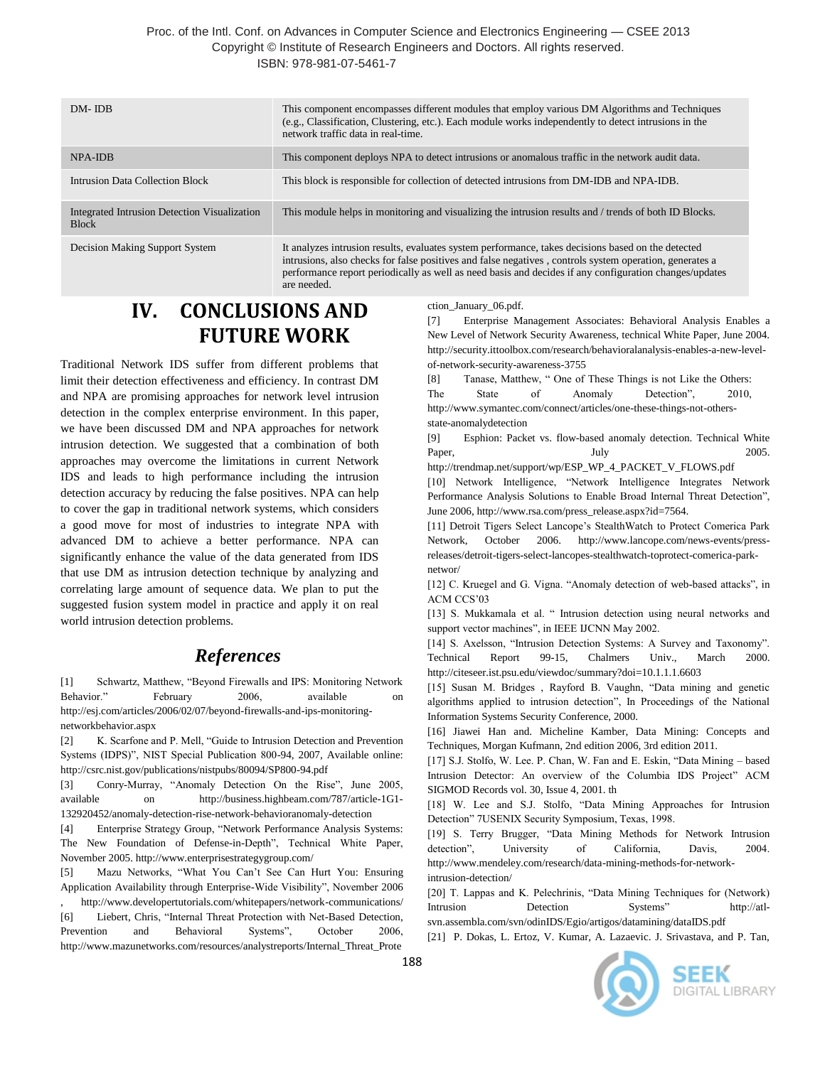| $DM$ - $IDB$                                                 | This component encompasses different modules that employ various DM Algorithms and Techniques<br>(e.g., Classification, Clustering, etc.). Each module works independently to detect intrusions in the<br>network traffic data in real-time.                                                                            |
|--------------------------------------------------------------|-------------------------------------------------------------------------------------------------------------------------------------------------------------------------------------------------------------------------------------------------------------------------------------------------------------------------|
| <b>NPA-IDB</b>                                               | This component deploys NPA to detect intrusions or anomalous traffic in the network audit data.                                                                                                                                                                                                                         |
| Intrusion Data Collection Block                              | This block is responsible for collection of detected intrusions from DM-IDB and NPA-IDB.                                                                                                                                                                                                                                |
| Integrated Intrusion Detection Visualization<br><b>Block</b> | This module helps in monitoring and visualizing the intrusion results and / trends of both ID Blocks.                                                                                                                                                                                                                   |
| <b>Decision Making Support System</b>                        | It analyzes intrusion results, evaluates system performance, takes decisions based on the detected<br>intrusions, also checks for false positives and false negatives, controls system operation, generates a<br>performance report periodically as well as need basis and decides if any configuration changes/updates |

# **IV. CONCLUSIONS AND FUTURE WORK**

are needed.

Traditional Network IDS suffer from different problems that limit their detection effectiveness and efficiency. In contrast DM and NPA are promising approaches for network level intrusion detection in the complex enterprise environment. In this paper, we have been discussed DM and NPA approaches for network intrusion detection. We suggested that a combination of both approaches may overcome the limitations in current Network IDS and leads to high performance including the intrusion detection accuracy by reducing the false positives. NPA can help to cover the gap in traditional network systems, which considers a good move for most of industries to integrate NPA with advanced DM to achieve a better performance. NPA can significantly enhance the value of the data generated from IDS that use DM as intrusion detection technique by analyzing and correlating large amount of sequence data. We plan to put the suggested fusion system model in practice and apply it on real world intrusion detection problems.

#### *References*

[1] Schwartz, Matthew, "Beyond Firewalls and IPS: Monitoring Network Behavior." February 2006, available on [http://esj.com/articles/2006/02/07/beyond-firewalls-and-ips-monitoring](http://esj.com/articles/2006/02/07/beyond-firewalls-and-ips-monitoring-networkbehavior.aspx)[networkbehavior.aspx](http://esj.com/articles/2006/02/07/beyond-firewalls-and-ips-monitoring-networkbehavior.aspx)

[2] K. Scarfone and P. Mell, "Guide to Intrusion Detection and Prevention Systems (IDPS)", NIST Special Publication 800-94, 2007, Available online: http://csrc.nist.gov/publications/nistpubs/80094/SP800-94.pdf

[3] Conry-Murray, "Anomaly Detection On the Rise", June 2005, available on http://business.highbeam.com/787/article-1G1- 132920452/anomaly-detection-rise-network-behavioranomaly-detection

[4] Enterprise Strategy Group, "Network Performance Analysis Systems: The New Foundation of Defense-in-Depth", Technical White Paper, November 2005. http://www.enterprisestrategygroup.com/

[5] Mazu Networks, "What You Can't See Can Hurt You: Ensuring Application Availability through Enterprise-Wide Visibility", November 2006 , http://www.developertutorials.com/whitepapers/network-communications/ [6] Liebert, Chris, "Internal Threat Protection with Net-Based Detection, Prevention and Behavioral Systems", October 2006, http://www.mazunetworks.com/resources/analystreports/Internal\_Threat\_Prote

ction\_January\_06.pdf.

[7] Enterprise Management Associates: Behavioral Analysis Enables a New Level of Network Security Awareness, technical White Paper, June 2004. http://security.ittoolbox.com/research/behavioralanalysis-enables-a-new-levelof-network-security-awareness-3755

[8] Tanase, Matthew, " One of These Things is not Like the Others: The State of Anomaly Detection", 2010, http://www.symantec.com/connect/articles/one-these-things-not-othersstate-anomalydetection

[9] Esphion: Packet vs. flow-based anomaly detection. Technical White Paper, July 2005.

http://trendmap.net/support/wp/ESP\_WP\_4\_PACKET\_V\_FLOWS.pdf

[10] Network Intelligence, "Network Intelligence Integrates Network Performance Analysis Solutions to Enable Broad Internal Threat Detection", June 2006, http://www.rsa.com/press\_release.aspx?id=7564.

[11] Detroit Tigers Select Lancope's StealthWatch to Protect Comerica Park Network, October 2006. http://www.lancope.com/news-events/pressreleases/detroit-tigers-select-lancopes-stealthwatch-toprotect-comerica-parknetwor/

[12] C. Kruegel and G. Vigna. "Anomaly detection of web-based attacks", in ACM CCS'03

[13] S. Mukkamala et al. " Intrusion detection using neural networks and support vector machines", in IEEE IJCNN May 2002.

[14] S. Axelsson, "Intrusion Detection Systems: A Survey and Taxonomy". Technical Report 99-15, Chalmers Univ., March 2000. http://citeseer.ist.psu.edu/viewdoc/summary?doi=10.1.1.1.6603

[15] Susan M. Bridges , Rayford B. Vaughn, "Data mining and genetic algorithms applied to intrusion detection", In Proceedings of the National Information Systems Security Conference, 2000.

[16] Jiawei Han and. Micheline Kamber, Data Mining: Concepts and Techniques, Morgan Kufmann, 2nd edition 2006, 3rd edition 2011.

[17] S.J. Stolfo, W. Lee. P. Chan, W. Fan and E. Eskin, "Data Mining – based Intrusion Detector: An overview of the Columbia IDS Project" ACM SIGMOD Records vol. 30, Issue 4, 2001. th

[18] W. Lee and S.J. Stolfo, "Data Mining Approaches for Intrusion Detection" 7USENIX Security Symposium, Texas, 1998.

[19] S. Terry Brugger, "Data Mining Methods for Network Intrusion detection", University of California, Davis, 2004. http://www.mendeley.com/research/data-mining-methods-for-networkintrusion-detection/

[20] T. Lappas and K. Pelechrinis, "Data Mining Techniques for (Network) Intrusion Detection Systems" http://atlsvn.assembla.com/svn/odinIDS/Egio/artigos/datamining/dataIDS.pdf

[21] P. Dokas, L. Ertoz, V. Kumar, A. Lazaevic. J. Srivastava, and P. Tan,